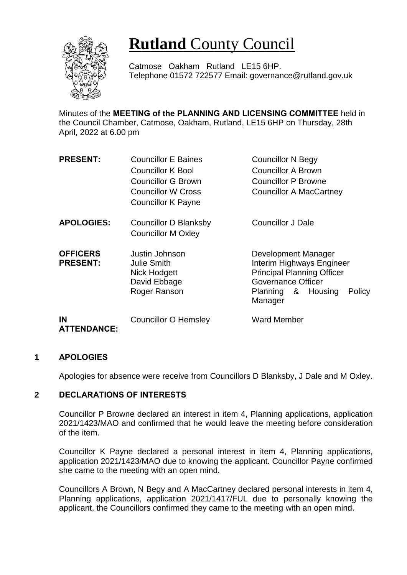

# **Rutland** County Council

Catmose Oakham Rutland LE15 6HP. Telephone 01572 722577 Email: governance@rutland.gov.uk

Minutes of the **MEETING of the PLANNING AND LICENSING COMMITTEE** held in the Council Chamber, Catmose, Oakham, Rutland, LE15 6HP on Thursday, 28th April, 2022 at 6.00 pm

| <b>PRESENT:</b>                    | <b>Councillor E Baines</b><br><b>Councillor K Bool</b><br><b>Councillor G Brown</b><br>Councillor W Cross<br><b>Councillor K Payne</b> | <b>Councillor N Begy</b><br><b>Councillor A Brown</b><br><b>Councillor P Browne</b><br><b>Councillor A MacCartney</b>                                  |
|------------------------------------|----------------------------------------------------------------------------------------------------------------------------------------|--------------------------------------------------------------------------------------------------------------------------------------------------------|
| <b>APOLOGIES:</b>                  | <b>Councillor D Blanksby</b><br><b>Councillor M Oxley</b>                                                                              | <b>Councillor J Dale</b>                                                                                                                               |
| <b>OFFICERS</b><br><b>PRESENT:</b> | Justin Johnson<br><b>Julie Smith</b><br>Nick Hodgett<br>David Ebbage<br>Roger Ranson                                                   | Development Manager<br>Interim Highways Engineer<br><b>Principal Planning Officer</b><br>Governance Officer<br>Planning & Housing<br>Policy<br>Manager |
| IN<br><b>ATTENDANCE:</b>           | <b>Councillor O Hemsley</b>                                                                                                            | <b>Ward Member</b>                                                                                                                                     |

#### **1 APOLOGIES**

Apologies for absence were receive from Councillors D Blanksby, J Dale and M Oxley.

#### **2 DECLARATIONS OF INTERESTS**

Councillor P Browne declared an interest in item 4, Planning applications, application 2021/1423/MAO and confirmed that he would leave the meeting before consideration of the item.

Councillor K Payne declared a personal interest in item 4, Planning applications, application 2021/1423/MAO due to knowing the applicant. Councillor Payne confirmed she came to the meeting with an open mind.

Councillors A Brown, N Begy and A MacCartney declared personal interests in item 4, Planning applications, application 2021/1417/FUL due to personally knowing the applicant, the Councillors confirmed they came to the meeting with an open mind.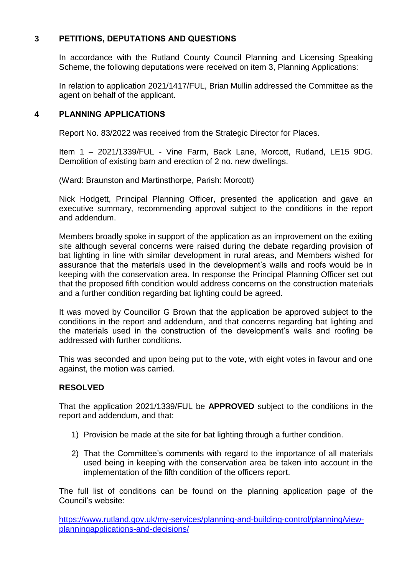## **3 PETITIONS, DEPUTATIONS AND QUESTIONS**

In accordance with the Rutland County Council Planning and Licensing Speaking Scheme, the following deputations were received on item 3, Planning Applications:

In relation to application 2021/1417/FUL, Brian Mullin addressed the Committee as the agent on behalf of the applicant.

### **4 PLANNING APPLICATIONS**

Report No. 83/2022 was received from the Strategic Director for Places.

Item 1 – 2021/1339/FUL - Vine Farm, Back Lane, Morcott, Rutland, LE15 9DG. Demolition of existing barn and erection of 2 no. new dwellings.

(Ward: Braunston and Martinsthorpe, Parish: Morcott)

Nick Hodgett, Principal Planning Officer, presented the application and gave an executive summary, recommending approval subject to the conditions in the report and addendum.

Members broadly spoke in support of the application as an improvement on the exiting site although several concerns were raised during the debate regarding provision of bat lighting in line with similar development in rural areas, and Members wished for assurance that the materials used in the development's walls and roofs would be in keeping with the conservation area. In response the Principal Planning Officer set out that the proposed fifth condition would address concerns on the construction materials and a further condition regarding bat lighting could be agreed.

It was moved by Councillor G Brown that the application be approved subject to the conditions in the report and addendum, and that concerns regarding bat lighting and the materials used in the construction of the development's walls and roofing be addressed with further conditions.

This was seconded and upon being put to the vote, with eight votes in favour and one against, the motion was carried.

#### **RESOLVED**

That the application 2021/1339/FUL be **APPROVED** subject to the conditions in the report and addendum, and that:

- 1) Provision be made at the site for bat lighting through a further condition.
- 2) That the Committee's comments with regard to the importance of all materials used being in keeping with the conservation area be taken into account in the implementation of the fifth condition of the officers report.

The full list of conditions can be found on the planning application page of the Council's website:

[https://www.rutland.gov.uk/my-services/planning-and-building-control/planning/view](https://www.rutland.gov.uk/my-services/planning-and-building-control/planning/view-planningapplications-and-decisions/)[planningapplications-and-decisions/](https://www.rutland.gov.uk/my-services/planning-and-building-control/planning/view-planningapplications-and-decisions/)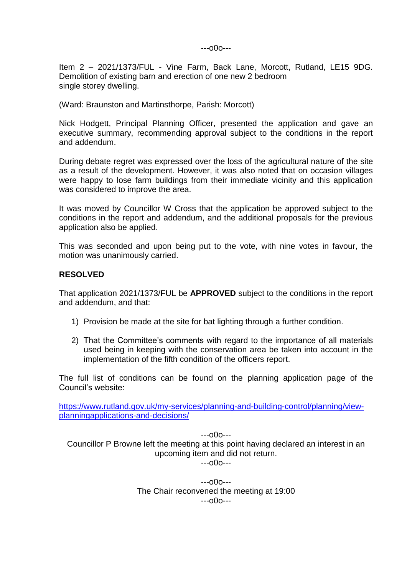---o0o---

Item 2 – 2021/1373/FUL - Vine Farm, Back Lane, Morcott, Rutland, LE15 9DG. Demolition of existing barn and erection of one new 2 bedroom single storey dwelling.

(Ward: Braunston and Martinsthorpe, Parish: Morcott)

Nick Hodgett, Principal Planning Officer, presented the application and gave an executive summary, recommending approval subject to the conditions in the report and addendum.

During debate regret was expressed over the loss of the agricultural nature of the site as a result of the development. However, it was also noted that on occasion villages were happy to lose farm buildings from their immediate vicinity and this application was considered to improve the area.

It was moved by Councillor W Cross that the application be approved subject to the conditions in the report and addendum, and the additional proposals for the previous application also be applied.

This was seconded and upon being put to the vote, with nine votes in favour, the motion was unanimously carried.

#### **RESOLVED**

That application 2021/1373/FUL be **APPROVED** subject to the conditions in the report and addendum, and that:

- 1) Provision be made at the site for bat lighting through a further condition.
- 2) That the Committee's comments with regard to the importance of all materials used being in keeping with the conservation area be taken into account in the implementation of the fifth condition of the officers report.

The full list of conditions can be found on the planning application page of the Council's website:

[https://www.rutland.gov.uk/my-services/planning-and-building-control/planning/view](https://www.rutland.gov.uk/my-services/planning-and-building-control/planning/view-planningapplications-and-decisions/)[planningapplications-and-decisions/](https://www.rutland.gov.uk/my-services/planning-and-building-control/planning/view-planningapplications-and-decisions/)

---o0o--- Councillor P Browne left the meeting at this point having declared an interest in an upcoming item and did not return.

---o0o---

---o0o--- The Chair reconvened the meeting at 19:00 ---o0o---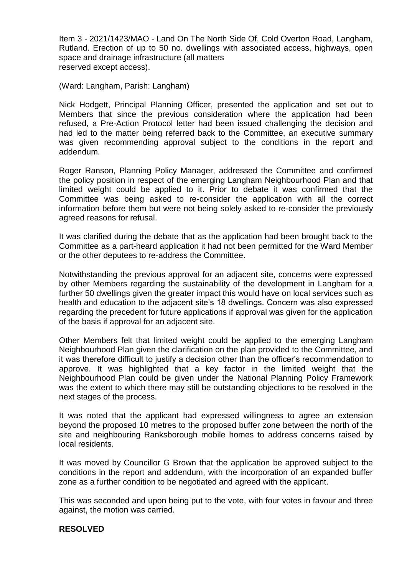Item 3 - 2021/1423/MAO - Land On The North Side Of, Cold Overton Road, Langham, Rutland. Erection of up to 50 no. dwellings with associated access, highways, open space and drainage infrastructure (all matters reserved except access).

(Ward: Langham, Parish: Langham)

Nick Hodgett, Principal Planning Officer, presented the application and set out to Members that since the previous consideration where the application had been refused, a Pre-Action Protocol letter had been issued challenging the decision and had led to the matter being referred back to the Committee, an executive summary was given recommending approval subject to the conditions in the report and addendum.

Roger Ranson, Planning Policy Manager, addressed the Committee and confirmed the policy position in respect of the emerging Langham Neighbourhood Plan and that limited weight could be applied to it. Prior to debate it was confirmed that the Committee was being asked to re-consider the application with all the correct information before them but were not being solely asked to re-consider the previously agreed reasons for refusal.

It was clarified during the debate that as the application had been brought back to the Committee as a part-heard application it had not been permitted for the Ward Member or the other deputees to re-address the Committee.

Notwithstanding the previous approval for an adjacent site, concerns were expressed by other Members regarding the sustainability of the development in Langham for a further 50 dwellings given the greater impact this would have on local services such as health and education to the adjacent site's 18 dwellings. Concern was also expressed regarding the precedent for future applications if approval was given for the application of the basis if approval for an adjacent site.

Other Members felt that limited weight could be applied to the emerging Langham Neighbourhood Plan given the clarification on the plan provided to the Committee, and it was therefore difficult to justify a decision other than the officer's recommendation to approve. It was highlighted that a key factor in the limited weight that the Neighbourhood Plan could be given under the National Planning Policy Framework was the extent to which there may still be outstanding objections to be resolved in the next stages of the process.

It was noted that the applicant had expressed willingness to agree an extension beyond the proposed 10 metres to the proposed buffer zone between the north of the site and neighbouring Ranksborough mobile homes to address concerns raised by local residents.

It was moved by Councillor G Brown that the application be approved subject to the conditions in the report and addendum, with the incorporation of an expanded buffer zone as a further condition to be negotiated and agreed with the applicant.

This was seconded and upon being put to the vote, with four votes in favour and three against, the motion was carried.

#### **RESOLVED**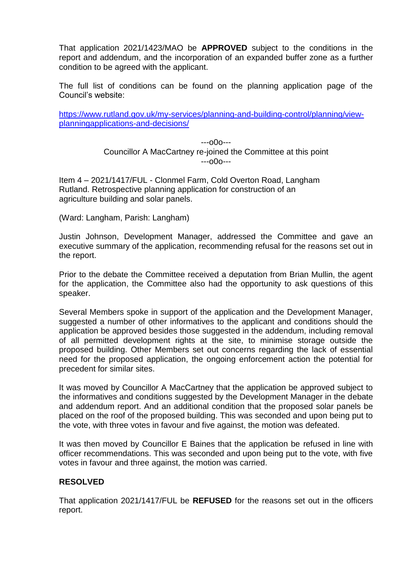That application 2021/1423/MAO be **APPROVED** subject to the conditions in the report and addendum, and the incorporation of an expanded buffer zone as a further condition to be agreed with the applicant.

The full list of conditions can be found on the planning application page of the Council's website:

[https://www.rutland.gov.uk/my-services/planning-and-building-control/planning/view](https://www.rutland.gov.uk/my-services/planning-and-building-control/planning/view-planningapplications-and-decisions/)[planningapplications-and-decisions/](https://www.rutland.gov.uk/my-services/planning-and-building-control/planning/view-planningapplications-and-decisions/)

> ---o0o--- Councillor A MacCartney re-joined the Committee at this point ---o0o---

Item 4 – 2021/1417/FUL - Clonmel Farm, Cold Overton Road, Langham Rutland. Retrospective planning application for construction of an agriculture building and solar panels.

(Ward: Langham, Parish: Langham)

Justin Johnson, Development Manager, addressed the Committee and gave an executive summary of the application, recommending refusal for the reasons set out in the report.

Prior to the debate the Committee received a deputation from Brian Mullin, the agent for the application, the Committee also had the opportunity to ask questions of this speaker.

Several Members spoke in support of the application and the Development Manager, suggested a number of other informatives to the applicant and conditions should the application be approved besides those suggested in the addendum, including removal of all permitted development rights at the site, to minimise storage outside the proposed building. Other Members set out concerns regarding the lack of essential need for the proposed application, the ongoing enforcement action the potential for precedent for similar sites.

It was moved by Councillor A MacCartney that the application be approved subject to the informatives and conditions suggested by the Development Manager in the debate and addendum report. And an additional condition that the proposed solar panels be placed on the roof of the proposed building. This was seconded and upon being put to the vote, with three votes in favour and five against, the motion was defeated.

It was then moved by Councillor E Baines that the application be refused in line with officer recommendations. This was seconded and upon being put to the vote, with five votes in favour and three against, the motion was carried.

#### **RESOLVED**

That application 2021/1417/FUL be **REFUSED** for the reasons set out in the officers report.